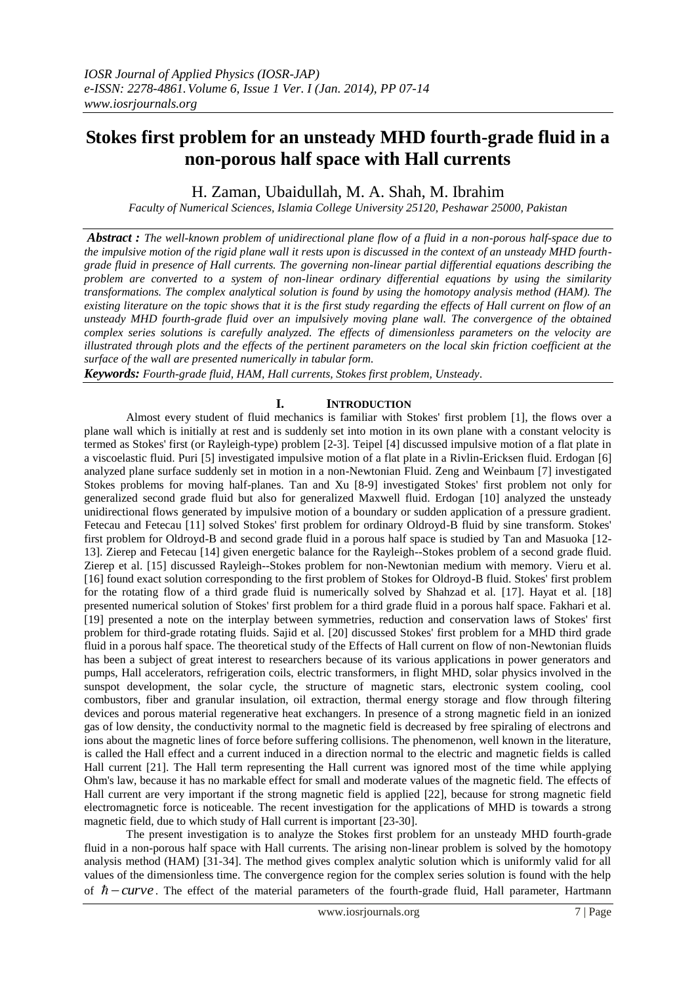# **Stokes first problem for an unsteady MHD fourth-grade fluid in a non-porous half space with Hall currents**

H. Zaman, Ubaidullah, M. A. Shah, M. Ibrahim

*Faculty of Numerical Sciences, Islamia College University 25120, Peshawar 25000, Pakistan*

*Abstract : The well-known problem of unidirectional plane flow of a fluid in a non-porous half-space due to the impulsive motion of the rigid plane wall it rests upon is discussed in the context of an unsteady MHD fourthgrade fluid in presence of Hall currents. The governing non-linear partial differential equations describing the problem are converted to a system of non-linear ordinary differential equations by using the similarity transformations. The complex analytical solution is found by using the homotopy analysis method (HAM). The existing literature on the topic shows that it is the first study regarding the effects of Hall current on flow of an unsteady MHD fourth-grade fluid over an impulsively moving plane wall. The convergence of the obtained complex series solutions is carefully analyzed. The effects of dimensionless parameters on the velocity are illustrated through plots and the effects of the pertinent parameters on the local skin friction coefficient at the surface of the wall are presented numerically in tabular form.*

*Keywords: Fourth-grade fluid, HAM, Hall currents, Stokes first problem, Unsteady.*

## **I. INTRODUCTION**

Almost every student of fluid mechanics is familiar with Stokes' first problem [1], the flows over a plane wall which is initially at rest and is suddenly set into motion in its own plane with a constant velocity is termed as Stokes' first (or Rayleigh-type) problem [2-3]. Teipel [4] discussed impulsive motion of a flat plate in a viscoelastic fluid. Puri [5] investigated impulsive motion of a flat plate in a Rivlin-Ericksen fluid. Erdogan [6] analyzed plane surface suddenly set in motion in a non-Newtonian Fluid. Zeng and Weinbaum [7] investigated Stokes problems for moving half-planes. Tan and Xu [8-9] investigated Stokes' first problem not only for generalized second grade fluid but also for generalized Maxwell fluid. Erdogan [10] analyzed the unsteady unidirectional flows generated by impulsive motion of a boundary or sudden application of a pressure gradient. Fetecau and Fetecau [11] solved Stokes' first problem for ordinary Oldroyd-B fluid by sine transform. Stokes' first problem for Oldroyd-B and second grade fluid in a porous half space is studied by Tan and Masuoka [12- 13]. Zierep and Fetecau [14] given energetic balance for the Rayleigh--Stokes problem of a second grade fluid. Zierep et al. [15] discussed Rayleigh--Stokes problem for non-Newtonian medium with memory. Vieru et al. [16] found exact solution corresponding to the first problem of Stokes for Oldroyd-B fluid. Stokes' first problem for the rotating flow of a third grade fluid is numerically solved by Shahzad et al. [17]. Hayat et al. [18] presented numerical solution of Stokes' first problem for a third grade fluid in a porous half space. Fakhari et al. [19] presented a note on the interplay between symmetries, reduction and conservation laws of Stokes' first problem for third-grade rotating fluids. Sajid et al. [20] discussed Stokes' first problem for a MHD third grade fluid in a porous half space. The theoretical study of the Effects of Hall current on flow of non-Newtonian fluids has been a subject of great interest to researchers because of its various applications in power generators and pumps, Hall accelerators, refrigeration coils, electric transformers, in flight MHD, solar physics involved in the sunspot development, the solar cycle, the structure of magnetic stars, electronic system cooling, cool combustors, fiber and granular insulation, oil extraction, thermal energy storage and flow through filtering devices and porous material regenerative heat exchangers. In presence of a strong magnetic field in an ionized gas of low density, the conductivity normal to the magnetic field is decreased by free spiraling of electrons and ions about the magnetic lines of force before suffering collisions. The phenomenon, well known in the literature, is called the Hall effect and a current induced in a direction normal to the electric and magnetic fields is called Hall current [21]. The Hall term representing the Hall current was ignored most of the time while applying Ohm's law, because it has no markable effect for small and moderate values of the magnetic field. The effects of Hall current are very important if the strong magnetic field is applied [22], because for strong magnetic field electromagnetic force is noticeable. The recent investigation for the applications of MHD is towards a strong magnetic field, due to which study of Hall current is important [23-30].

The present investigation is to analyze the Stokes first problem for an unsteady MHD fourth-grade fluid in a non-porous half space with Hall currents. The arising non-linear problem is solved by the homotopy analysis method (HAM) [31-34]. The method gives complex analytic solution which is uniformly valid for all values of the dimensionless time. The convergence region for the complex series solution is found with the help of  $\hbar$  - curve. The effect of the material parameters of the fourth-grade fluid, Hall parameter, Hartmann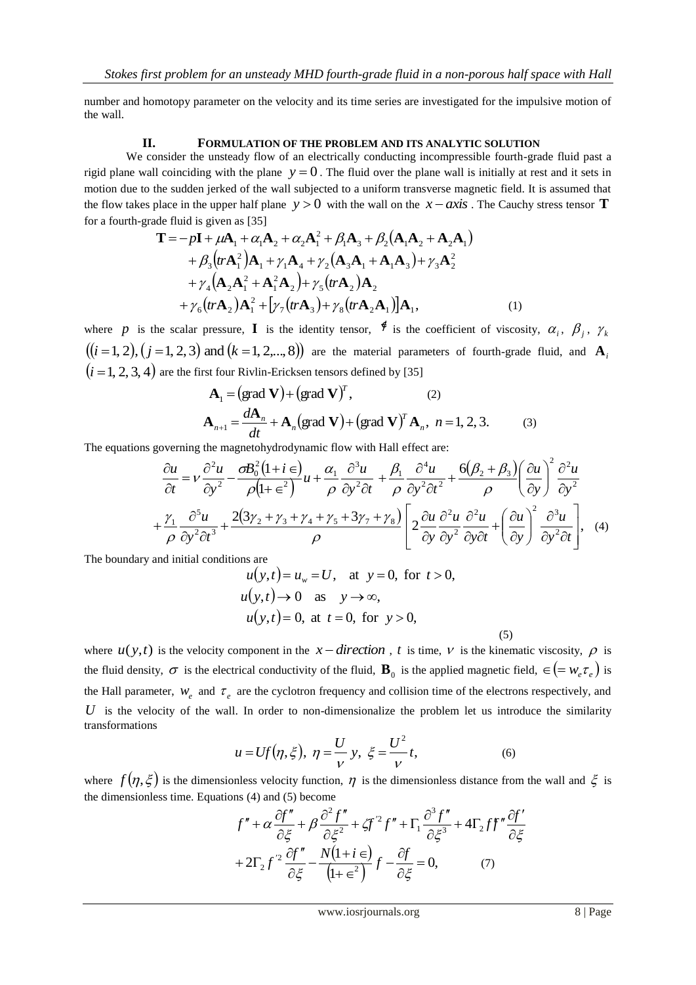number and homotopy parameter on the velocity and its time series are investigated for the impulsive motion of the wall.

#### **II. FORMULATION OF THE PROBLEM AND ITS ANALYTIC SOLUTION**

We consider the unsteady flow of an electrically conducting incompressible fourth-grade fluid past a rigid plane wall coinciding with the plane  $y = 0$ . The fluid over the plane wall is initially at rest and it sets in motion due to the sudden jerked of the wall subjected to a uniform transverse magnetic field. It is assumed that the flow takes place in the upper half plane  $y > 0$  with the wall on the  $x - axis$ . The Cauchy stress tensor **T** for a fourth-grade fluid is given as [35]

$$
\mathbf{T} = -p\mathbf{I} + \mu \mathbf{A}_1 + \alpha_1 \mathbf{A}_2 + \alpha_2 \mathbf{A}_1^2 + \beta_1 \mathbf{A}_3 + \beta_2 (\mathbf{A}_1 \mathbf{A}_2 + \mathbf{A}_2 \mathbf{A}_1) + \beta_3 (tr \mathbf{A}_1^2) \mathbf{A}_1 + \gamma_1 \mathbf{A}_4 + \gamma_2 (\mathbf{A}_3 \mathbf{A}_1 + \mathbf{A}_1 \mathbf{A}_3) + \gamma_3 \mathbf{A}_2^2 + \gamma_4 (\mathbf{A}_2 \mathbf{A}_1^2 + \mathbf{A}_1^2 \mathbf{A}_2) + \gamma_5 (tr \mathbf{A}_2) \mathbf{A}_2 + \gamma_6 (tr \mathbf{A}_2) \mathbf{A}_1^2 + [\gamma_7 (tr \mathbf{A}_3) + \gamma_8 (tr \mathbf{A}_2 \mathbf{A}_1)] \mathbf{A}_1,
$$
 (1)

where p is the scalar pressure, **I** is the identity tensor,  $\oint$  is the coefficient of viscosity,  $\alpha_i$ ,  $\beta_j$ ,  $\gamma_k$  $(i = 1, 2), (j = 1, 2, 3)$  and  $(k = 1, 2,..., 8)$  are the material parameters of fourth-grade fluid, and  $\mathbf{A}_i$  $(i = 1, 2, 3, 4)$  are the first four Rivlin-Ericksen tensors defined by [35]

$$
\mathbf{A}_{1} = (\text{grad } \mathbf{V}) + (\text{grad } \mathbf{V})^{T}, \qquad (2)
$$
  

$$
\mathbf{A}_{n+1} = \frac{d\mathbf{A}_{n}}{dt} + \mathbf{A}_{n} (\text{grad } \mathbf{V}) + (\text{grad } \mathbf{V})^{T} \mathbf{A}_{n}, n = 1, 2, 3. \qquad (3)
$$

The equations governing the magnetohydrodynamic flow with Hall effect are:

$$
\frac{\partial u}{\partial t} = v \frac{\partial^2 u}{\partial y^2} - \frac{\partial B_0^2 (1 + i \epsilon)}{\rho (1 + \epsilon^2)} u + \frac{\alpha_1}{\rho} \frac{\partial^3 u}{\partial y^2 \partial t} + \frac{\beta_1}{\rho} \frac{\partial^4 u}{\partial y^2 \partial t^2} + \frac{6(\beta_2 + \beta_3)}{\rho} \left(\frac{\partial u}{\partial y}\right)^2 \frac{\partial^2 u}{\partial y^2} + \frac{\gamma_1}{\rho} \frac{\partial^5 u}{\partial y^2 \partial t^3} + \frac{2(3\gamma_2 + \gamma_3 + \gamma_4 + \gamma_5 + 3\gamma_7 + \gamma_8)}{\rho} \left[ 2 \frac{\partial u}{\partial y} \frac{\partial^2 u}{\partial y^2} \frac{\partial^2 u}{\partial y \partial t} + \left(\frac{\partial u}{\partial y}\right)^2 \frac{\partial^3 u}{\partial y^2 \partial t} \right], \quad (4)
$$

The boundary and initial conditions are

$$
u(y,t) = u_w = U, \text{ at } y = 0, \text{ for } t > 0,
$$
  
\n
$$
u(y,t) \to 0 \text{ as } y \to \infty,
$$
  
\n
$$
u(y,t) = 0, \text{ at } t = 0, \text{ for } y > 0,
$$
  
\n(5)

where  $u(y,t)$  is the velocity component in the  $x$  – direction, t is time, v is the kinematic viscosity,  $\rho$  is the fluid density,  $\sigma$  is the electrical conductivity of the fluid,  $\mathbf{B}_0$  is the applied magnetic field,  $\in (=w_e \tau_e)$  is the Hall parameter,  $W_e$  and  $\tau_e$  are the cyclotron frequency and collision time of the electrons respectively, and  $U$  is the velocity of the wall. In order to non-dimensionalize the problem let us introduce the similarity transformations

$$
u = Uf(\eta, \xi), \ \eta = \frac{U}{V} \ y, \ \xi = \frac{U^2}{V} t,
$$
 (6)

where  $f(\eta, \xi)$  is the dimensionless velocity function,  $\eta$  is the dimensionless distance from the wall and  $\xi$  is the dimensionless time. Equations (4) and (5) become

$$
f'' + \alpha \frac{\partial f''}{\partial \xi} + \beta \frac{\partial^2 f''}{\partial \xi^2} + \zeta f'^2 f'' + \Gamma_1 \frac{\partial^3 f''}{\partial \xi^3} + 4\Gamma_2 f f'' \frac{\partial f'}{\partial \xi}
$$

$$
+ 2\Gamma_2 f'^2 \frac{\partial f''}{\partial \xi} - \frac{N(1+i\epsilon)}{(1+\epsilon^2)} f - \frac{\partial f}{\partial \xi} = 0, \qquad (7)
$$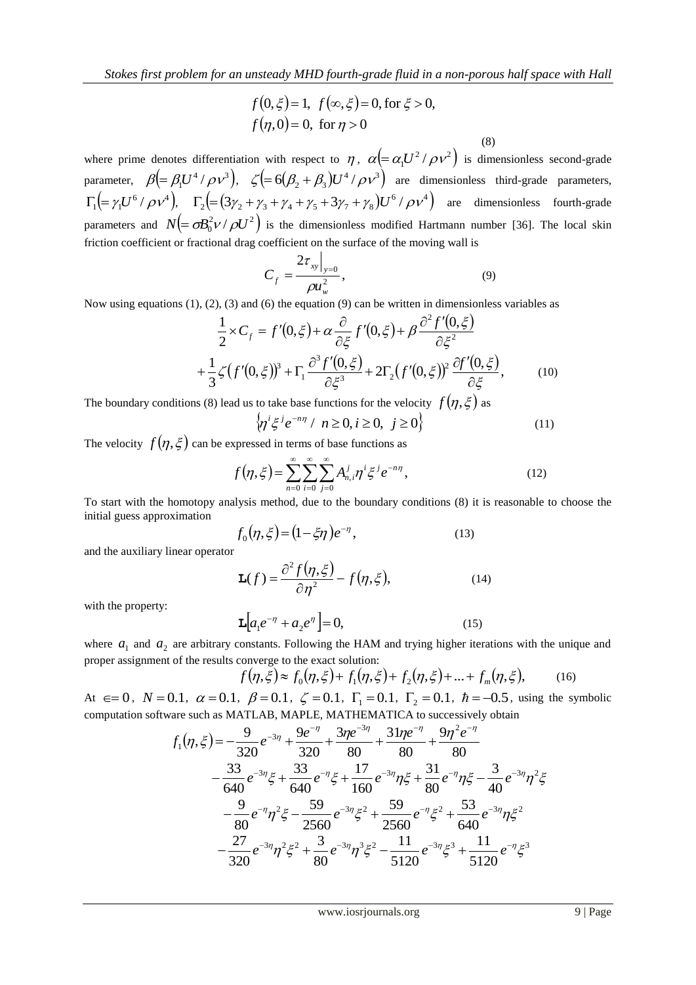$$
f(0,\xi) = 1
$$
,  $f(\infty,\xi) = 0$ , for  $\xi > 0$ ,  
 $f(\eta,0) = 0$ , for  $\eta > 0$ 

 (8) where prime denotes differentiation with respect to  $\eta$ ,  $\alpha = \alpha_1 U^2 / \rho v^2$  is dimensionless second-grade parameter,  $\beta = \beta_1 U^4 / \rho v^3$ ,  $\zeta = 6(\beta_2 + \beta_3)U^4 / \rho v^3$  are dimensionless third-grade parameters,  $\Gamma_1 = \gamma_1 U^6 / \rho v^4$ ,  $\Gamma_2 = (3\gamma_2 + \gamma_3 + \gamma_4 + \gamma_5 + 3\gamma_7 + \gamma_8) U^6 / \rho v^4$  are dimensionless fourth-grade parameters and  $N = \sigma B_0^2 v / \rho U^2$  is the dimensionless modified Hartmann number [36]. The local skin friction coefficient or fractional drag coefficient on the surface of the moving wall is

$$
C_f = \frac{2\tau_{xy}\big|_{y=0}}{\rho u_w^2},\tag{9}
$$

Now using equations (1), (2), (3) and (6) the equation (9) can be written in dimensionless variables as

$$
\frac{1}{2} \times C_f = f'(0,\xi) + \alpha \frac{\partial}{\partial \xi} f'(0,\xi) + \beta \frac{\partial^2 f'(0,\xi)}{\partial \xi^2} \n+ \frac{1}{3} \zeta (f'(0,\xi))^3 + \Gamma_1 \frac{\partial^3 f'(0,\xi)}{\partial \xi^3} + 2\Gamma_2 (f'(0,\xi))^2 \frac{\partial f'(0,\xi)}{\partial \xi},
$$
\n(10)

The boundary conditions (8) lead us to take base functions for the velocity  $f(\eta,\xi)$  as

$$
\left\{\eta^{i}\xi^{j}e^{-n\eta} \mid n \ge 0, i \ge 0, j \ge 0\right\} \tag{11}
$$

The velocity  $f(\eta, \xi)$  can be expressed in terms of base functions as

$$
f(\eta, \xi) = \sum_{n=0}^{\infty} \sum_{i=0}^{\infty} \sum_{j=0}^{\infty} A_{n,i}^j \eta^i \xi^j e^{-n\eta},
$$
 (12)

To start with the homotopy analysis method, due to the boundary conditions (8) it is reasonable to choose the initial guess approximation

$$
f_0(\eta, \xi) = (1 - \xi \eta) e^{-\eta}, \tag{13}
$$

and the auxiliary linear operator

$$
\mathbf{L}(f) = \frac{\partial^2 f(\eta, \xi)}{\partial \eta^2} - f(\eta, \xi),\tag{14}
$$

with the property:

$$
\mathbf{L}\left[a_1e^{-\eta} + a_2e^{\eta}\right] = 0, \tag{15}
$$

where  $a_1$  and  $a_2$  are arbitrary constants. Following the HAM and trying higher iterations with the unique and proper assignment of the results converge to the exact solution:

$$
f(\eta, \xi) \approx f_0(\eta, \xi) + f_1(\eta, \xi) + f_2(\eta, \xi) + \dots + f_m(\eta, \xi), \tag{16}
$$

At  $\epsilon = 0$ ,  $N = 0.1$ ,  $\alpha = 0.1$ ,  $\beta = 0.1$ ,  $\zeta = 0.1$ ,  $\Gamma_1 = 0.1$ ,  $\Gamma_2 = 0.1$ ,  $\hbar = -0.5$ , using the symbolic computation software such as MATLAB, MAPLE, MATHEMATICA to successively obtain

$$
f_1(\eta, \xi) = -\frac{9}{320}e^{-3\eta} + \frac{9e^{-\eta}}{320} + \frac{3\eta e^{-3\eta}}{80} + \frac{31\eta e^{-\eta}}{80} + \frac{9\eta^2 e^{-\eta}}{80} -\frac{33}{640}e^{-3\eta}\xi + \frac{33}{640}e^{-\eta}\xi + \frac{17}{160}e^{-3\eta}\eta\xi + \frac{31}{80}e^{-\eta}\eta\xi - \frac{3}{40}e^{-3\eta}\eta^2\xi -\frac{9}{80}e^{-\eta}\eta^2\xi - \frac{59}{2560}e^{-3\eta}\xi^2 + \frac{59}{2560}e^{-\eta}\xi^2 + \frac{53}{640}e^{-3\eta}\eta\xi^2 -\frac{27}{320}e^{-3\eta}\eta^2\xi^2 + \frac{3}{80}e^{-3\eta}\eta^3\xi^2 - \frac{11}{5120}e^{-3\eta}\xi^3 + \frac{11}{5120}e^{-\eta}\xi^3
$$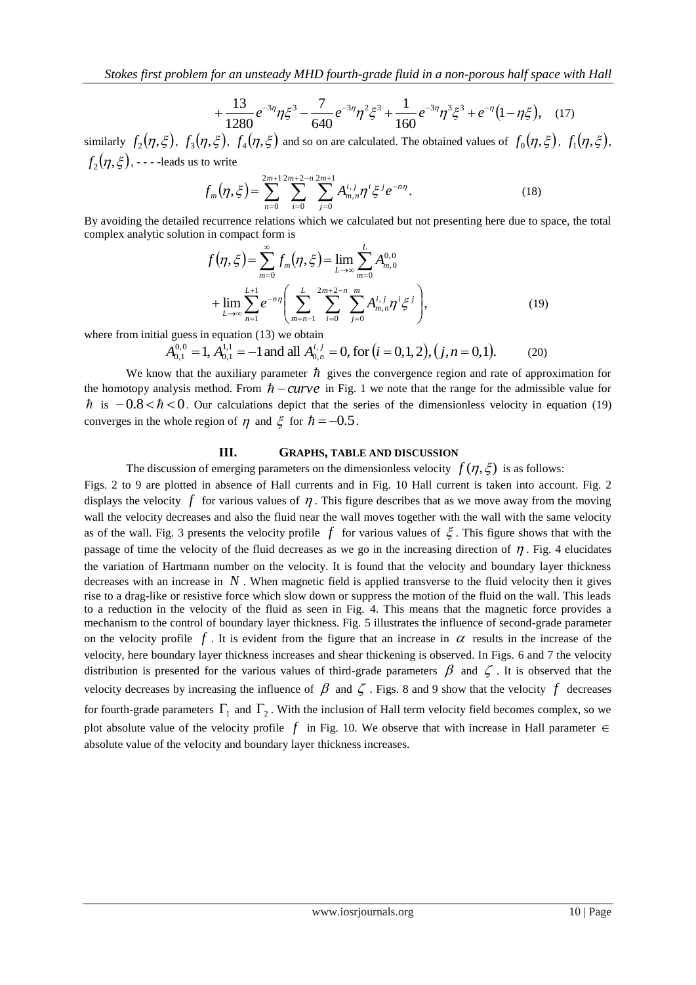*Stokes first problem for an unsteady MHD fourth-grade fluid in a non-porous half space with Hall* 

$$
+\frac{13}{1280}e^{-3\eta}\eta\xi^3-\frac{7}{640}e^{-3\eta}\eta^2\xi^3+\frac{1}{160}e^{-3\eta}\eta^3\xi^3+e^{-\eta}(1-\eta\xi),\quad(17)
$$

similarly  $f_2(\eta, \xi)$ ,  $f_3(\eta, \xi)$ ,  $f_4(\eta, \xi)$  and so on are calculated. The obtained values of  $f_0(\eta, \xi)$ ,  $f_1(\eta, \xi)$ ,  $f_2(\eta, \xi)$ , - - - -leads us to write

$$
f_m(\eta, \xi) = \sum_{n=0}^{2m+1} \sum_{i=0}^{2m+2-n} \sum_{j=0}^{2m+1} A_{m,n}^{i,j} \eta^i \xi^j e^{-n\eta}.
$$
 (18)

By avoiding the detailed recurrence relations which we calculated but not presenting here due to space, the total complex analytic solution in compact form is

$$
f(\eta, \xi) = \sum_{m=0}^{\infty} f_m(\eta, \xi) = \lim_{L \to \infty} \sum_{m=0}^{L} A_{m,0}^{0,0}
$$
  
+ 
$$
\lim_{L \to \infty} \sum_{n=1}^{L+1} e^{-n\eta} \left( \sum_{m=n-1}^{L} \sum_{i=0}^{2m+2-n} \sum_{j=0}^{m} A_{m,n}^{i,j} \eta^i \xi^j \right),
$$
(19)

where from initial guess in equation (13) we obtain

$$
A_{0,1}^{0,0} = 1, A_{0,1}^{1,1} = -1 \text{ and all } A_{0,n}^{i,j} = 0, \text{ for } (i = 0,1,2), (j, n = 0,1). \tag{20}
$$

We know that the auxiliary parameter  $\hbar$  gives the convergence region and rate of approximation for the homotopy analysis method. From  $\hbar - curve$  in Fig. 1 we note that the range for the admissible value for  $\hbar$  is  $-0.8 < \hbar < 0$ . Our calculations depict that the series of the dimensionless velocity in equation (19) converges in the whole region of  $\eta$  and  $\xi$  for  $\hbar = -0.5$ .

#### **III. GRAPHS, TABLE AND DISCUSSION**

The discussion of emerging parameters on the dimensionless velocity  $f(\eta, \xi)$  is as follows:

Figs. 2 to 9 are plotted in absence of Hall currents and in Fig. 10 Hall current is taken into account. Fig. 2 displays the velocity  $f$  for various values of  $\eta$ . This figure describes that as we move away from the moving wall the velocity decreases and also the fluid near the wall moves together with the wall with the same velocity as of the wall. Fig. 3 presents the velocity profile  $f$  for various values of  $\xi$ . This figure shows that with the passage of time the velocity of the fluid decreases as we go in the increasing direction of  $\eta$ . Fig. 4 elucidates the variation of Hartmann number on the velocity. It is found that the velocity and boundary layer thickness decreases with an increase in  $N$ . When magnetic field is applied transverse to the fluid velocity then it gives rise to a drag-like or resistive force which slow down or suppress the motion of the fluid on the wall. This leads to a reduction in the velocity of the fluid as seen in Fig. 4. This means that the magnetic force provides a mechanism to the control of boundary layer thickness. Fig. 5 illustrates the influence of second-grade parameter on the velocity profile  $f$ . It is evident from the figure that an increase in  $\alpha$  results in the increase of the velocity, here boundary layer thickness increases and shear thickening is observed. In Figs. 6 and 7 the velocity distribution is presented for the various values of third-grade parameters  $\beta$  and  $\zeta$ . It is observed that the velocity decreases by increasing the influence of  $\beta$  and  $\zeta$ . Figs. 8 and 9 show that the velocity  $f$  decreases for fourth-grade parameters  $\Gamma_1$  and  $\Gamma_2$ . With the inclusion of Hall term velocity field becomes complex, so we plot absolute value of the velocity profile  $f$  in Fig. 10. We observe that with increase in Hall parameter  $\in$ absolute value of the velocity and boundary layer thickness increases.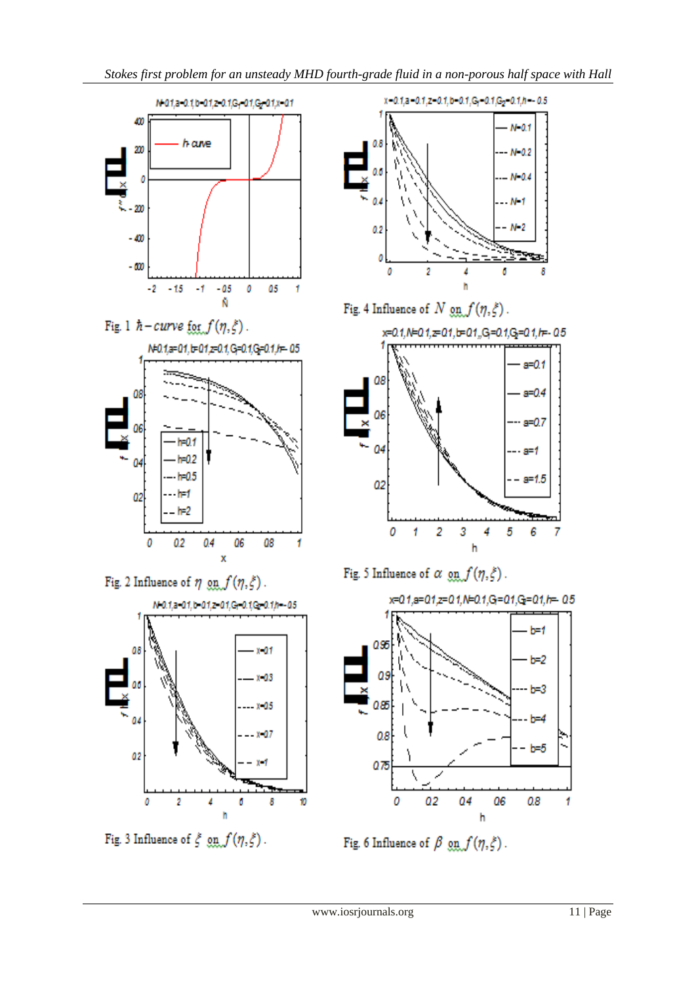

Fig. 1  $\hbar$  - curve for  $f(\eta, \xi)$ .



Fig. 2 Influence of  $\eta ~ \text{g} \text{g} \text{g} f(\eta, \xi)$  .



Fig. 3 Influence of  $\xi$  on  $f(\eta, \xi)$ .



Fig. 4 Influence of  $N$   $\varrho n$   $f(\eta, \xi)$ .



Fig. 5 Influence of  $\alpha$  on  $f(\eta, \xi)$ .



Fig. 6 Influence of  $\beta$  on  $f(\eta, \xi)$ .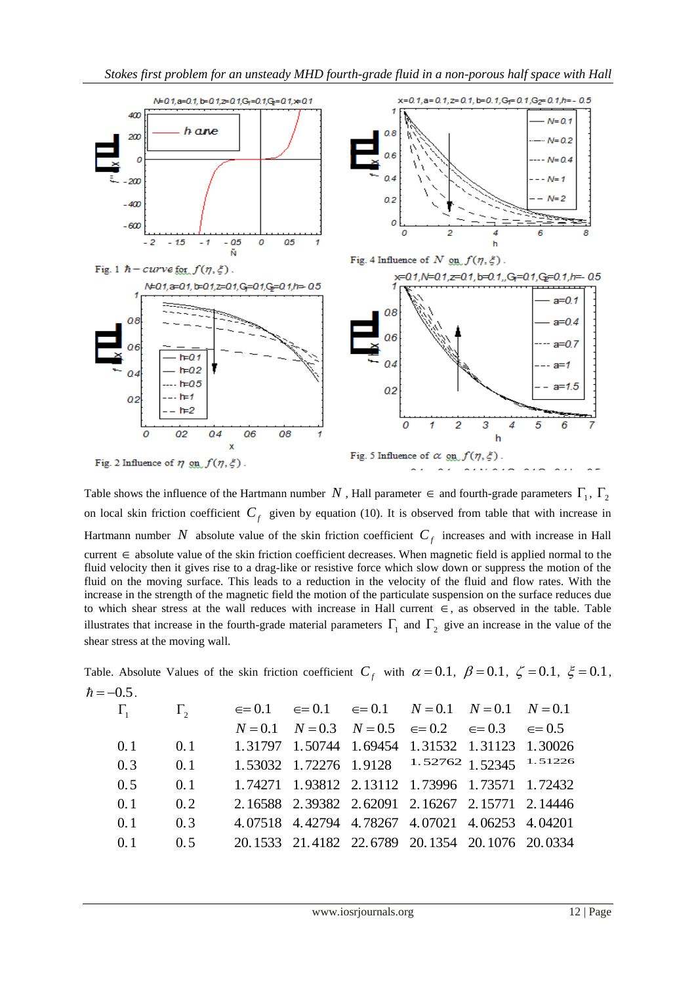

Table shows the influence of the Hartmann number N, Hall parameter  $\in$  and fourth-grade parameters  $\Gamma_1$ ,  $\Gamma_2$ on local skin friction coefficient  $C_f$  given by equation (10). It is observed from table that with increase in Hartmann number N absolute value of the skin friction coefficient  $C_f$  increases and with increase in Hall  $current \in absolute$  value of the skin friction coefficient decreases. When magnetic field is applied normal to the fluid velocity then it gives rise to a drag-like or resistive force which slow down or suppress the motion of the fluid on the moving surface. This leads to a reduction in the velocity of the fluid and flow rates. With the increase in the strength of the magnetic field the motion of the particulate suspension on the surface reduces due to which shear stress at the wall reduces with increase in Hall current  $\in$ , as observed in the table. Table illustrates that increase in the fourth-grade material parameters  $\Gamma_1$  and  $\Gamma_2$  give an increase in the value of the shear stress at the moving wall.

Table. Absolute Values of the skin friction coefficient  $C_f$  with  $\alpha = 0.1$ ,  $\beta = 0.1$ ,  $\zeta = 0.1$ ,  $\xi = 0.1$ ,  $\hbar = -0.5$ .

|            | $\Gamma_{2}$                        |  | $\epsilon = 0.1$ $\epsilon = 0.1$ $\epsilon = 0.1$ $N = 0.1$ $N = 0.1$ $N = 0.1$ |  |
|------------|-------------------------------------|--|----------------------------------------------------------------------------------|--|
|            |                                     |  | $N = 0.1$ $N = 0.3$ $N = 0.5$ $\in = 0.2$ $\in = 0.3$ $\in = 0.5$                |  |
| 0.1        | 0.1                                 |  | 1.31797 1.50744 1.69454 1.31532 1.31123 1.30026                                  |  |
| 0.3        | $\qquad 0.1$                        |  | 1.53032 1.72276 1.9128 1.52762 1.52345 1.51226                                   |  |
| 0.5        | $\qquad 0.1$                        |  | 1.74271 1.93812 2.13112 1.73996 1.73571 1.72432                                  |  |
| 0.1        | $\begin{array}{cc} 0.2 \end{array}$ |  | 2.16588 2.39382 2.62091 2.16267 2.15771 2.14446                                  |  |
| 0.1        | 0.3                                 |  | 4.07518 4.42794 4.78267 4.07021 4.06253 4.04201                                  |  |
| $\Omega$ 1 | 0.5                                 |  | 20.1533 21.4182 22.6789 20.1354 20.1076 20.0334                                  |  |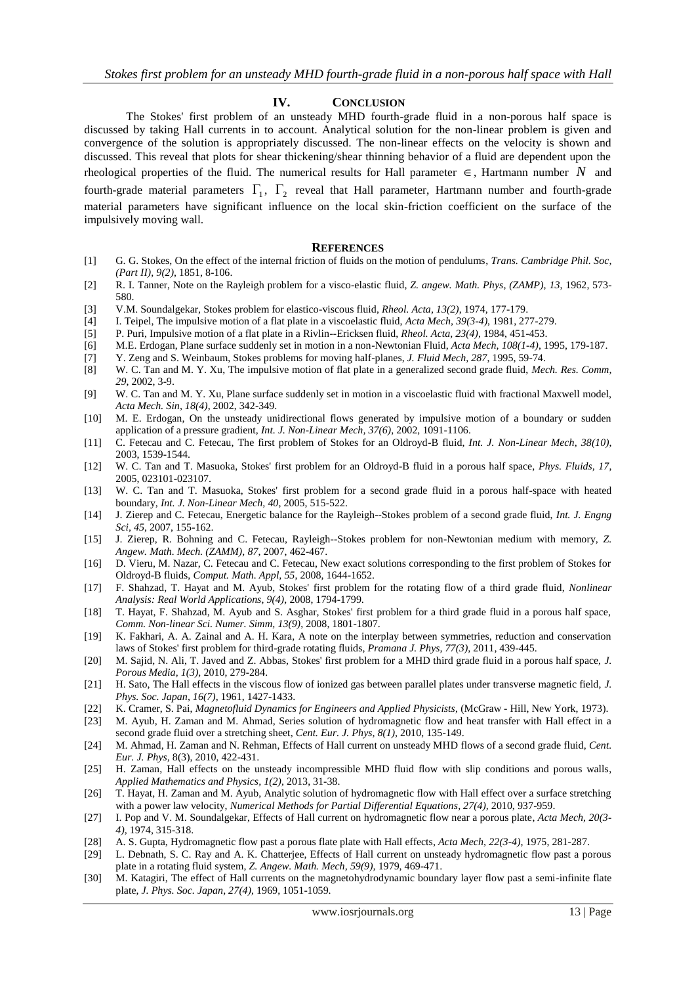### **IV. CONCLUSION**

The Stokes' first problem of an unsteady MHD fourth-grade fluid in a non-porous half space is discussed by taking Hall currents in to account. Analytical solution for the non-linear problem is given and convergence of the solution is appropriately discussed. The non-linear effects on the velocity is shown and discussed. This reveal that plots for shear thickening/shear thinning behavior of a fluid are dependent upon the rheological properties of the fluid. The numerical results for Hall parameter  $\in$ , Hartmann number N and fourth-grade material parameters  $\Gamma_1$ ,  $\Gamma_2$  reveal that Hall parameter, Hartmann number and fourth-grade material parameters have significant influence on the local skin-friction coefficient on the surface of the impulsively moving wall.

#### **REFERENCES**

- [1] G. G. Stokes, On the effect of the internal friction of fluids on the motion of pendulums, *Trans. Cambridge Phil. Soc, (Part II), 9(2)*, 1851, 8-106.
- [2] R. I. Tanner, Note on the Rayleigh problem for a visco-elastic fluid, *Z. angew. Math. Phys, (ZAMP), 13*, 1962, 573- 580.
- [3] V.M. Soundalgekar, Stokes problem for elastico-viscous fluid, *Rheol. Acta, 13(2)*, 1974, 177-179.
- [4] I. Teipel, The impulsive motion of a flat plate in a viscoelastic fluid, *Acta Mech, 39(3-4)*, 1981, 277-279.
- [5] P. Puri, Impulsive motion of a flat plate in a Rivlin--Ericksen fluid, *Rheol. Acta, 23(4)*, 1984, 451-453.
- [6] M.E. Erdogan, Plane surface suddenly set in motion in a non-Newtonian Fluid, *Acta Mech, 108(1-4)*, 1995, 179-187.
- [7] Y. Zeng and S. Weinbaum, Stokes problems for moving half-planes, *J. Fluid Mech, 287*, 1995, 59-74.
- [8] W. C. Tan and M. Y. Xu, The impulsive motion of flat plate in a generalized second grade fluid, *Mech. Res. Comm, 29*, 2002, 3-9.
- [9] W. C. Tan and M. Y. Xu, Plane surface suddenly set in motion in a viscoelastic fluid with fractional Maxwell model, *Acta Mech. Sin, 18(4)*, 2002, 342-349.
- [10] M. E. Erdogan, On the unsteady unidirectional flows generated by impulsive motion of a boundary or sudden application of a pressure gradient, *Int. J. Non-Linear Mech, 37(6)*, 2002, 1091-1106.
- [11] C. Fetecau and C. Fetecau, The first problem of Stokes for an Oldroyd-B fluid, *Int. J. Non-Linear Mech, 38(10)*, 2003, 1539-1544.
- [12] W. C. Tan and T. Masuoka, Stokes' first problem for an Oldroyd-B fluid in a porous half space, *Phys. Fluids, 17*, 2005, 023101-023107.
- [13] W. C. Tan and T. Masuoka, Stokes' first problem for a second grade fluid in a porous half-space with heated boundary, *Int. J. Non-Linear Mech, 40*, 2005, 515-522.
- [14] J. Zierep and C. Fetecau, Energetic balance for the Rayleigh--Stokes problem of a second grade fluid, *Int. J. Engng Sci, 45*, 2007, 155-162.
- [15] J. Zierep, R. Bohning and C. Fetecau, Rayleigh--Stokes problem for non-Newtonian medium with memory, *Z. Angew. Math. Mech. (ZAMM), 87*, 2007, 462-467.
- [16] D. Vieru, M. Nazar, C. Fetecau and C. Fetecau, New exact solutions corresponding to the first problem of Stokes for Oldroyd-B fluids, *Comput. Math. Appl, 55*, 2008, 1644-1652.
- [17] F. Shahzad, T. Hayat and M. Ayub, Stokes' first problem for the rotating flow of a third grade fluid, *Nonlinear Analysis: Real World Applications, 9(4),* 2008, 1794-1799.
- [18] T. Hayat, F. Shahzad, M. Ayub and S. Asghar, Stokes' first problem for a third grade fluid in a porous half space, *Comm. Non-linear Sci. Numer. Simm, 13(9)*, 2008, 1801-1807.
- [19] K. Fakhari, A. A. Zainal and A. H. Kara, A note on the interplay between symmetries, reduction and conservation laws of Stokes' first problem for third-grade rotating fluids, *Pramana J. Phys, 77(3)*, 2011, 439-445.
- [20] M. Sajid, N. Ali, T. Javed and Z. Abbas, Stokes' first problem for a MHD third grade fluid in a porous half space, *J. Porous Media, 1(3),* 2010, 279-284.
- [21] H. Sato, The Hall effects in the viscous flow of ionized gas between parallel plates under transverse magnetic field, *J. Phys. Soc. Japan, 16(7),* 1961, 1427-1433.
- [22] K. Cramer, S. Pai, *Magnetofluid Dynamics for Engineers and Applied Physicists*, (McGraw Hill, New York, 1973).
- [23] M. Ayub, H. Zaman and M. Ahmad, Series solution of hydromagnetic flow and heat transfer with Hall effect in a second grade fluid over a stretching sheet, *Cent. Eur. J. Phys, 8(1),* 2010, 135-149.
- [24] M. Ahmad, H. Zaman and N. Rehman, Effects of Hall current on unsteady MHD flows of a second grade fluid, *Cent. Eur. J. Phys,* 8(3), 2010, 422-431.
- [25] H. Zaman, Hall effects on the unsteady incompressible MHD fluid flow with slip conditions and porous walls, *Applied Mathematics and Physics, 1(2),* 2013, 31-38.
- [26] T. Hayat, H. Zaman and M. Ayub, Analytic solution of hydromagnetic flow with Hall effect over a surface stretching with a power law velocity, *Numerical Methods for Partial Differential Equations, 27(4),* 2010, 937-959.
- [27] I. Pop and V. M. Soundalgekar, Effects of Hall current on hydromagnetic flow near a porous plate, *Acta Mech, 20(3- 4),* 1974, 315-318.
- [28] A. S. Gupta, Hydromagnetic flow past a porous flate plate with Hall effects, *Acta Mech, 22(3-4),* 1975, 281-287.
- [29] L. Debnath, S. C. Ray and A. K. Chatterjee, Effects of Hall current on unsteady hydromagnetic flow past a porous plate in a rotating fluid system, *Z. Angew. Math. Mech, 59(9),* 1979, 469-471.
- [30] M. Katagiri, The effect of Hall currents on the magnetohydrodynamic boundary layer flow past a semi-infinite flate plate, *J. Phys. Soc. Japan, 27(4),* 1969, 1051-1059.